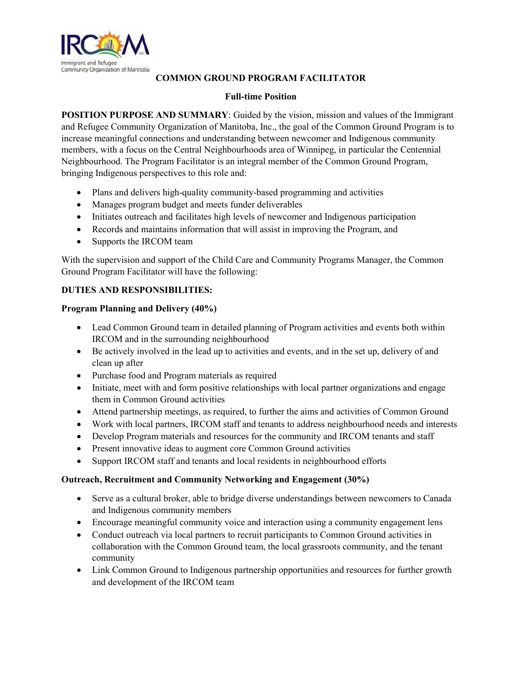

## **COMMON GROUND PROGRAM FACILITATOR**

## **Full-time Position**

**POSITION PURPOSE AND SUMMARY**: Guided by the vision, mission and values of the Immigrant and Refugee Community Organization of Manitoba, Inc., the goal of the Common Ground Program is to increase meaningful connections and understanding between newcomer and Indigenous community members, with a focus on the Central Neighbourhoods area of Winnipeg, in particular the Centennial Neighbourhood. The Program Facilitator is an integral member of the Common Ground Program, bringing Indigenous perspectives to this role and:

- Plans and delivers high-quality community-based programming and activities
- Manages program budget and meets funder deliverables
- Initiates outreach and facilitates high levels of newcomer and Indigenous participation
- Records and maintains information that will assist in improving the Program, and
- Supports the IRCOM team

With the supervision and support of the Child Care and Community Programs Manager, the Common Ground Program Facilitator will have the following:

# **DUTIES AND RESPONSIBILITIES:**

## **Program Planning and Delivery (40%)**

- Lead Common Ground team in detailed planning of Program activities and events both within IRCOM and in the surrounding neighbourhood
- Be actively involved in the lead up to activities and events, and in the set up, delivery of and clean up after
- Purchase food and Program materials as required
- Initiate, meet with and form positive relationships with local partner organizations and engage them in Common Ground activities
- Attend partnership meetings, as required, to further the aims and activities of Common Ground
- Work with local partners, IRCOM staff and tenants to address neighbourhood needs and interests
- Develop Program materials and resources for the community and IRCOM tenants and staff
- Present innovative ideas to augment core Common Ground activities
- Support IRCOM staff and tenants and local residents in neighbourhood efforts

## **Outreach, Recruitment and Community Networking and Engagement (30%)**

- Serve as a cultural broker, able to bridge diverse understandings between newcomers to Canada and Indigenous community members
- Encourage meaningful community voice and interaction using a community engagement lens
- Conduct outreach via local partners to recruit participants to Common Ground activities in collaboration with the Common Ground team, the local grassroots community, and the tenant community
- Link Common Ground to Indigenous partnership opportunities and resources for further growth and development of the IRCOM team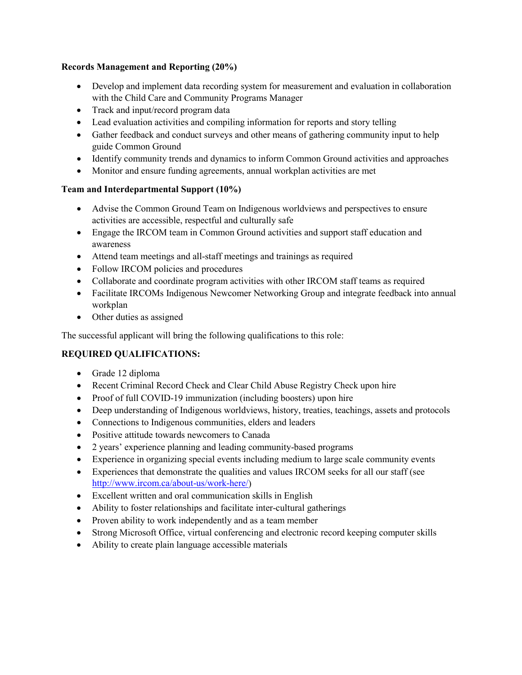## **Records Management and Reporting (20%)**

- Develop and implement data recording system for measurement and evaluation in collaboration with the Child Care and Community Programs Manager
- Track and input/record program data
- Lead evaluation activities and compiling information for reports and story telling
- Gather feedback and conduct surveys and other means of gathering community input to help guide Common Ground
- Identify community trends and dynamics to inform Common Ground activities and approaches
- Monitor and ensure funding agreements, annual workplan activities are met

# **Team and Interdepartmental Support (10%)**

- Advise the Common Ground Team on Indigenous worldviews and perspectives to ensure activities are accessible, respectful and culturally safe
- Engage the IRCOM team in Common Ground activities and support staff education and awareness
- Attend team meetings and all-staff meetings and trainings as required
- Follow IRCOM policies and procedures
- Collaborate and coordinate program activities with other IRCOM staff teams as required
- Facilitate IRCOMs Indigenous Newcomer Networking Group and integrate feedback into annual workplan
- Other duties as assigned

The successful applicant will bring the following qualifications to this role:

# **REQUIRED QUALIFICATIONS:**

- Grade 12 diploma
- Recent Criminal Record Check and Clear Child Abuse Registry Check upon hire
- Proof of full COVID-19 immunization (including boosters) upon hire
- Deep understanding of Indigenous worldviews, history, treaties, teachings, assets and protocols
- Connections to Indigenous communities, elders and leaders
- Positive attitude towards newcomers to Canada
- 2 years' experience planning and leading community-based programs
- Experience in organizing special events including medium to large scale community events
- Experiences that demonstrate the qualities and values IRCOM seeks for all our staff (see [http://www.ircom.ca/about-us/work-here/\)](http://www.ircom.ca/about-us/work-here/)
- Excellent written and oral communication skills in English
- Ability to foster relationships and facilitate inter-cultural gatherings
- Proven ability to work independently and as a team member
- Strong Microsoft Office, virtual conferencing and electronic record keeping computer skills
- Ability to create plain language accessible materials